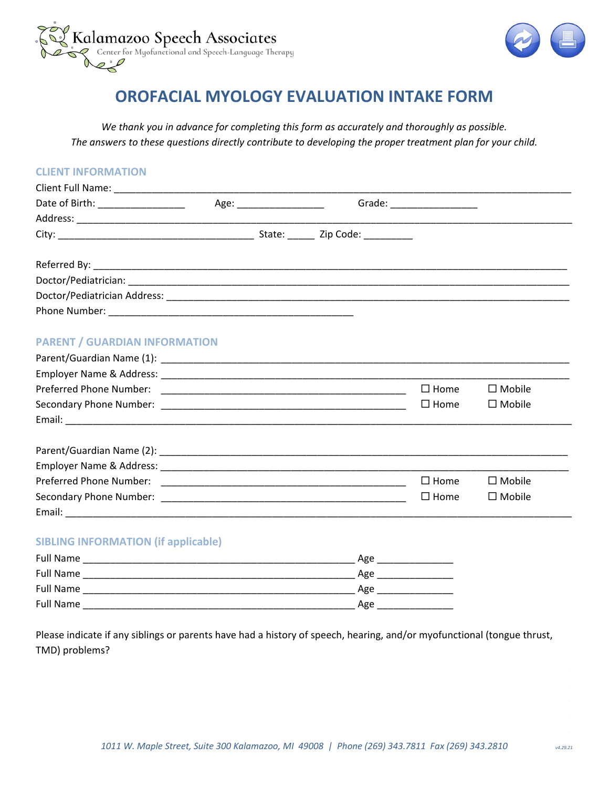



## OROFACIAL MYOLOGY EVALUATION INTAKE FORM

We thank you in advance for completing this form as accurately and thoroughly as possible. The answers to these questions directly contribute to developing the proper treatment plan for your child.

| <b>CLIENT INFORMATION</b>                  |  |     |                            |               |
|--------------------------------------------|--|-----|----------------------------|---------------|
|                                            |  |     |                            |               |
|                                            |  |     | Grade: ___________________ |               |
|                                            |  |     |                            |               |
|                                            |  |     |                            |               |
|                                            |  |     |                            |               |
|                                            |  |     |                            |               |
|                                            |  |     |                            |               |
|                                            |  |     |                            |               |
| <b>PARENT / GUARDIAN INFORMATION</b>       |  |     |                            |               |
|                                            |  |     |                            |               |
|                                            |  |     |                            |               |
|                                            |  |     | $\Box$ Home                | $\Box$ Mobile |
|                                            |  |     | $\square$ Home             | $\Box$ Mobile |
|                                            |  |     |                            |               |
|                                            |  |     |                            |               |
|                                            |  |     |                            |               |
|                                            |  |     | $\Box$ Home                | $\Box$ Mobile |
|                                            |  |     | $\square$ Home             | $\Box$ Mobile |
|                                            |  |     |                            |               |
| <b>SIBLING INFORMATION (if applicable)</b> |  |     |                            |               |
|                                            |  | Age |                            |               |
| <b>Full Name</b>                           |  | Age |                            |               |

| <u>. un ivuille</u> | -טי |
|---------------------|-----|
| <b>Full Name</b>    | Age |
| <b>Full Name</b>    | Age |
|                     |     |

Please indicate if any siblings or parents have had a history of speech, hearing, and/or myofunctional (tongue thrust, TMD) problems?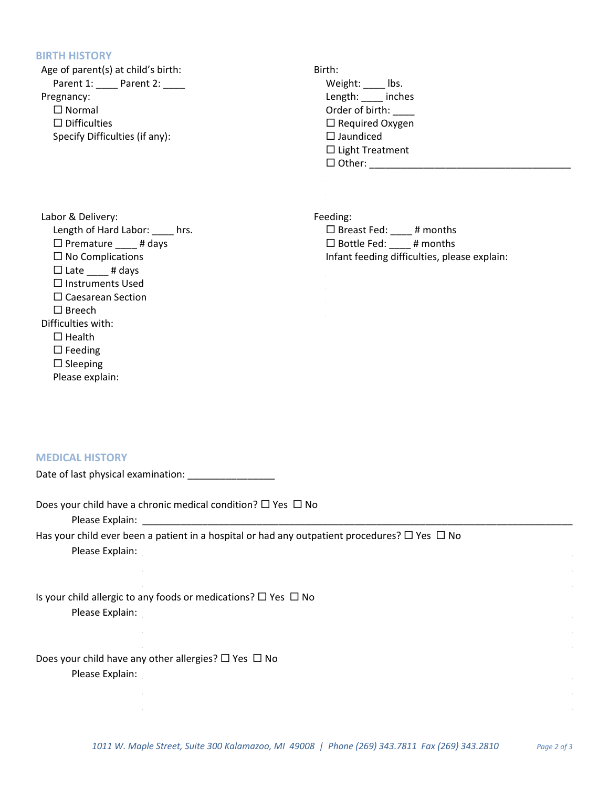## **BIRTH HISTORY**

| Age of parent(s) at child's birth:<br>Parent 1: _____ Parent 2: _____<br>Pregnancy:<br>$\Box$ Normal<br>$\Box$ Difficulties<br>Specify Difficulties (if any):                                                                                                                                                                | Birth:<br>Weight: _____ lbs.<br>Length: ____ inches<br>Order of birth: ____<br>$\Box$ Required Oxygen<br>$\Box$ Jaundiced<br>$\Box$ Light Treatment |
|------------------------------------------------------------------------------------------------------------------------------------------------------------------------------------------------------------------------------------------------------------------------------------------------------------------------------|-----------------------------------------------------------------------------------------------------------------------------------------------------|
| Labor & Delivery:<br>Length of Hard Labor: ____ hrs.<br>$\Box$ Premature _____ # days<br>$\Box$ No Complications<br>$\Box$ Late $\_\_\_\#$ days<br>$\Box$ Instruments Used<br>$\square$ Caesarean Section<br>$\square$ Breech<br>Difficulties with:<br>$\Box$ Health<br>$\Box$ Feeding<br>$\Box$ Sleeping<br>Please explain: | Feeding:<br>$\Box$ Breast Fed: ____ # months<br>$\Box$ Bottle Fed: ____ # months<br>Infant feeding difficulties, please explain:                    |
| <b>MEDICAL HISTORY</b>                                                                                                                                                                                                                                                                                                       |                                                                                                                                                     |
| Date of last physical examination: [100] [100] [100] [100] [100] [100] [100] [100] [100] [100] [100] [100] [100                                                                                                                                                                                                              |                                                                                                                                                     |
| Does your child have a chronic medical condition? $\Box$ Yes $\Box$ No<br>Please Explain:<br>Has your child ever been a patient in a hospital or had any outpatient procedures? $\Box$ Yes $\Box$ No                                                                                                                         |                                                                                                                                                     |
| Please Explain:                                                                                                                                                                                                                                                                                                              |                                                                                                                                                     |
|                                                                                                                                                                                                                                                                                                                              |                                                                                                                                                     |
| Is your child allergic to any foods or medications? $\Box$ Yes $\Box$ No<br>Please Explain:                                                                                                                                                                                                                                  |                                                                                                                                                     |
| Does your child have any other allergies? $\Box$ Yes $\Box$ No<br>Please Explain:                                                                                                                                                                                                                                            |                                                                                                                                                     |